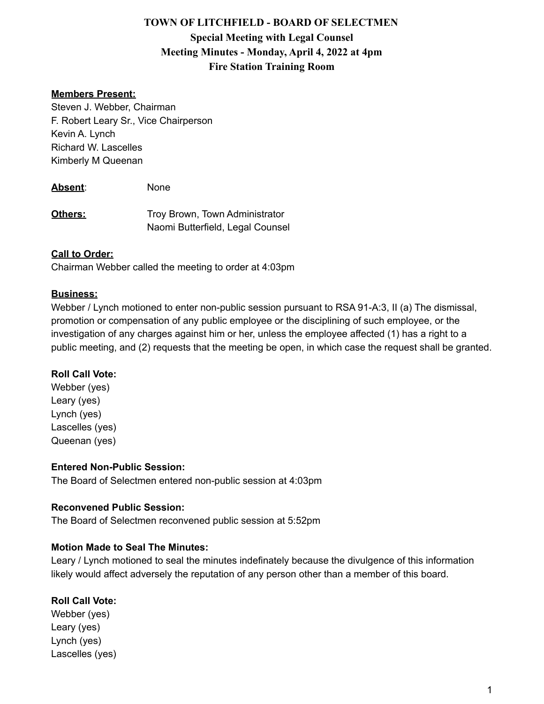# **TOWN OF LITCHFIELD - BOARD OF SELECTMEN Special Meeting with Legal Counsel Meeting Minutes - Monday, April 4, 2022 at 4pm Fire Station Training Room**

### **Members Present:**

Steven J. Webber, Chairman F. Robert Leary Sr., Vice Chairperson Kevin A. Lynch Richard W. Lascelles Kimberly M Queenan

**Absent**: None

**Others:** Troy Brown, Town Administrator Naomi Butterfield, Legal Counsel

#### **Call to Order:**

Chairman Webber called the meeting to order at 4:03pm

#### **Business:**

Webber / Lynch motioned to enter non-public session pursuant to RSA 91-A:3, II (a) The dismissal, promotion or compensation of any public employee or the disciplining of such employee, or the investigation of any charges against him or her, unless the employee affected (1) has a right to a public meeting, and (2) requests that the meeting be open, in which case the request shall be granted.

#### **Roll Call Vote:**

Webber (yes) Leary (yes) Lynch (yes) Lascelles (yes) Queenan (yes)

#### **Entered Non-Public Session:**

The Board of Selectmen entered non-public session at 4:03pm

#### **Reconvened Public Session:**

The Board of Selectmen reconvened public session at 5:52pm

#### **Motion Made to Seal The Minutes:**

Leary / Lynch motioned to seal the minutes indefinately because the divulgence of this information likely would affect adversely the reputation of any person other than a member of this board.

#### **Roll Call Vote:**

Webber (yes) Leary (yes) Lynch (yes) Lascelles (yes)